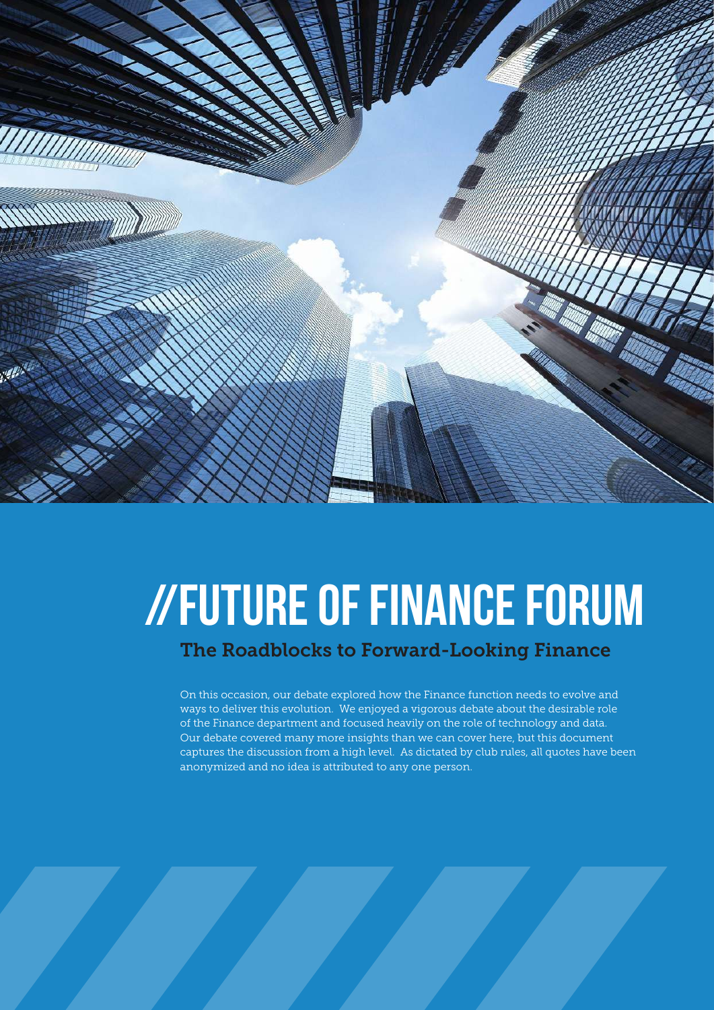

# //Future of Finance Forum

# The Roadblocks to Forward-Looking Finance

On this occasion, our debate explored how the Finance function needs to evolve and ways to deliver this evolution. We enjoyed a vigorous debate about the desirable role of the Finance department and focused heavily on the role of technology and data. Our debate covered many more insights than we can cover here, but this document captures the discussion from a high level. As dictated by club rules, all quotes have been anonymized and no idea is attributed to any one person.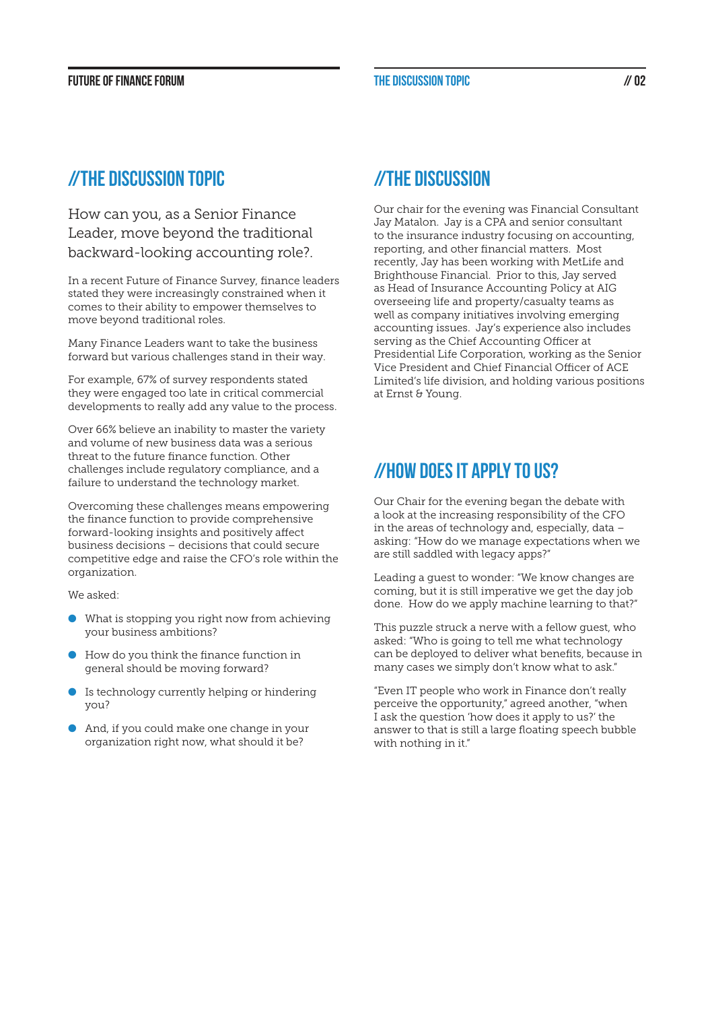#### Future of Finance Forum The discussion topic // 02

# //THE DISCUSSION TOPIC

How can you, as a Senior Finance Leader, move beyond the traditional backward-looking accounting role?.

In a recent Future of Finance Survey, finance leaders stated they were increasingly constrained when it comes to their ability to empower themselves to move beyond traditional roles.

Many Finance Leaders want to take the business forward but various challenges stand in their way.

For example, 67% of survey respondents stated they were engaged too late in critical commercial developments to really add any value to the process.

Over 66% believe an inability to master the variety and volume of new business data was a serious threat to the future finance function. Other challenges include regulatory compliance, and a failure to understand the technology market.

Overcoming these challenges means empowering the finance function to provide comprehensive forward-looking insights and positively affect business decisions – decisions that could secure competitive edge and raise the CFO's role within the organization.

We asked:

- $\bullet$  What is stopping you right now from achieving your business ambitions?
- $\bullet$  How do you think the finance function in general should be moving forward?
- **I**s technology currently helping or hindering you?
- **And, if you could make one change in your** organization right now, what should it be?

# //THE DISCUSSION

Our chair for the evening was Financial Consultant Jay Matalon. Jay is a CPA and senior consultant to the insurance industry focusing on accounting, reporting, and other financial matters. Most recently, Jay has been working with MetLife and Brighthouse Financial. Prior to this, Jay served as Head of Insurance Accounting Policy at AIG overseeing life and property/casualty teams as well as company initiatives involving emerging accounting issues. Jay's experience also includes serving as the Chief Accounting Officer at Presidential Life Corporation, working as the Senior Vice President and Chief Financial Officer of ACE Limited's life division, and holding various positions at Ernst & Young.

# //How does it apply to us?

Our Chair for the evening began the debate with a look at the increasing responsibility of the CFO in the areas of technology and, especially, data – asking: "How do we manage expectations when we are still saddled with legacy apps?"

Leading a guest to wonder: "We know changes are coming, but it is still imperative we get the day job done. How do we apply machine learning to that?"

This puzzle struck a nerve with a fellow guest, who asked: "Who is going to tell me what technology can be deployed to deliver what benefits, because in many cases we simply don't know what to ask."

"Even IT people who work in Finance don't really perceive the opportunity," agreed another, "when I ask the question 'how does it apply to us?' the answer to that is still a large floating speech bubble with nothing in it."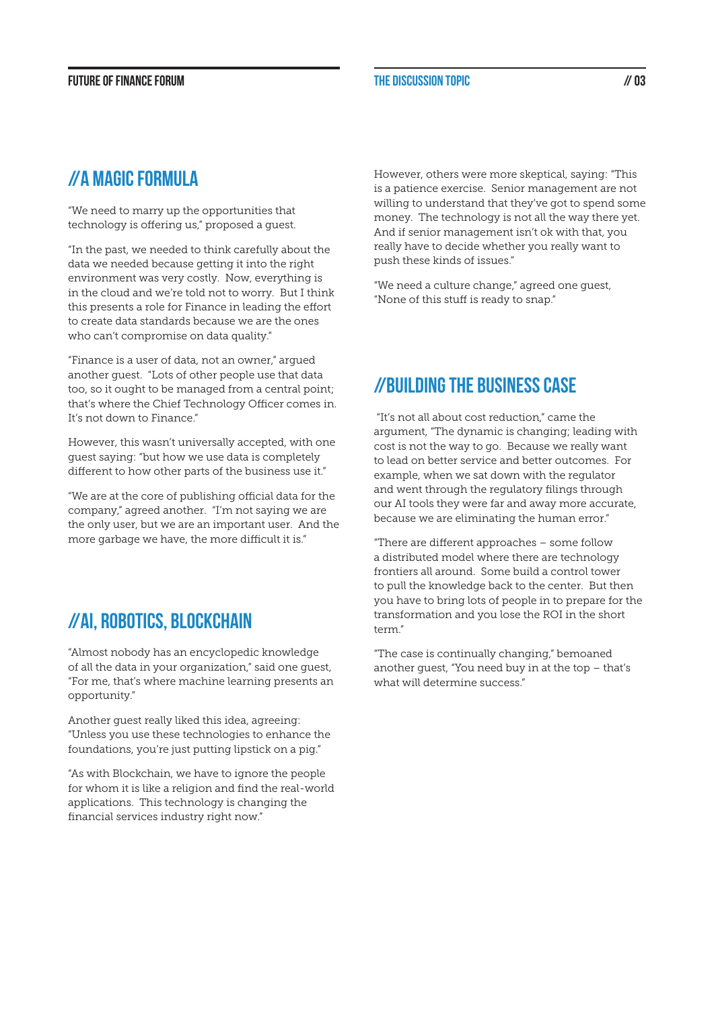### //A magic formula

"We need to marry up the opportunities that technology is offering us," proposed a guest.

"In the past, we needed to think carefully about the data we needed because getting it into the right environment was very costly. Now, everything is in the cloud and we're told not to worry. But I think this presents a role for Finance in leading the effort to create data standards because we are the ones who can't compromise on data quality."

"Finance is a user of data, not an owner," argued another guest. "Lots of other people use that data too, so it ought to be managed from a central point; that's where the Chief Technology Officer comes in. It's not down to Finance."

However, this wasn't universally accepted, with one guest saying: "but how we use data is completely different to how other parts of the business use it."

"We are at the core of publishing official data for the company," agreed another. "I'm not saying we are the only user, but we are an important user. And the more garbage we have, the more difficult it is."

# //AI, robotics, Blockchain

"Almost nobody has an encyclopedic knowledge of all the data in your organization," said one guest, "For me, that's where machine learning presents an opportunity."

Another guest really liked this idea, agreeing: "Unless you use these technologies to enhance the foundations, you're just putting lipstick on a pig."

"As with Blockchain, we have to ignore the people for whom it is like a religion and find the real-world applications. This technology is changing the financial services industry right now."

However, others were more skeptical, saying: "This is a patience exercise. Senior management are not willing to understand that they've got to spend some money. The technology is not all the way there yet. And if senior management isn't ok with that, you really have to decide whether you really want to push these kinds of issues."

"We need a culture change," agreed one guest, "None of this stuff is ready to snap."

# //Building the business case

 "It's not all about cost reduction," came the argument, "The dynamic is changing; leading with cost is not the way to go. Because we really want to lead on better service and better outcomes. For example, when we sat down with the regulator and went through the regulatory filings through our AI tools they were far and away more accurate, because we are eliminating the human error."

"There are different approaches – some follow a distributed model where there are technology frontiers all around. Some build a control tower to pull the knowledge back to the center. But then you have to bring lots of people in to prepare for the transformation and you lose the ROI in the short term."

"The case is continually changing," bemoaned another guest, "You need buy in at the top – that's what will determine success."